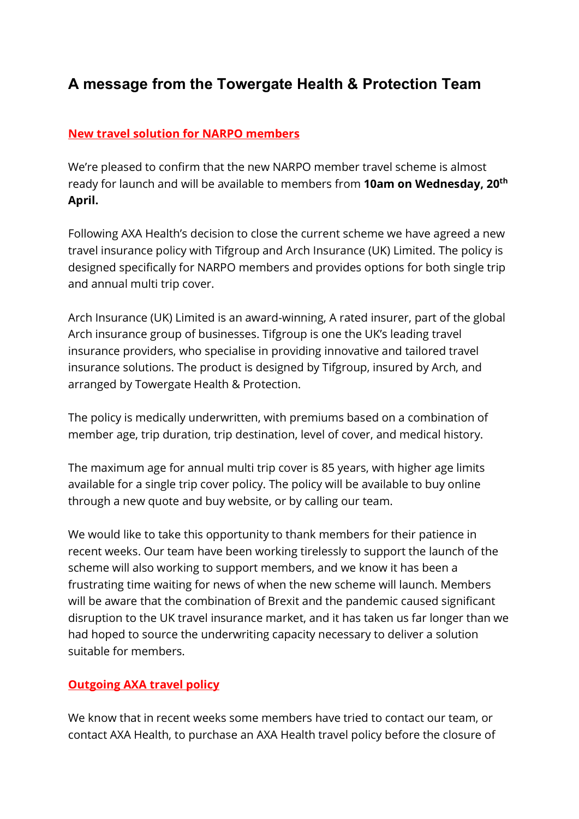## A message from the Towergate Health & Protection Team

## New travel solution for NARPO members

We're pleased to confirm that the new NARPO member travel scheme is almost ready for launch and will be available to members from **10am on Wednesday, 20<sup>th</sup>** April.

Following AXA Health's decision to close the current scheme we have agreed a new travel insurance policy with Tifgroup and Arch Insurance (UK) Limited. The policy is designed specifically for NARPO members and provides options for both single trip and annual multi trip cover.

Arch Insurance (UK) Limited is an award-winning, A rated insurer, part of the global Arch insurance group of businesses. Tifgroup is one the UK's leading travel insurance providers, who specialise in providing innovative and tailored travel insurance solutions. The product is designed by Tifgroup, insured by Arch, and arranged by Towergate Health & Protection.

The policy is medically underwritten, with premiums based on a combination of member age, trip duration, trip destination, level of cover, and medical history.

The maximum age for annual multi trip cover is 85 years, with higher age limits available for a single trip cover policy. The policy will be available to buy online through a new quote and buy website, or by calling our team.

We would like to take this opportunity to thank members for their patience in recent weeks. Our team have been working tirelessly to support the launch of the scheme will also working to support members, and we know it has been a frustrating time waiting for news of when the new scheme will launch. Members will be aware that the combination of Brexit and the pandemic caused significant disruption to the UK travel insurance market, and it has taken us far longer than we had hoped to source the underwriting capacity necessary to deliver a solution suitable for members.

## **Outgoing AXA travel policy**

We know that in recent weeks some members have tried to contact our team, or contact AXA Health, to purchase an AXA Health travel policy before the closure of